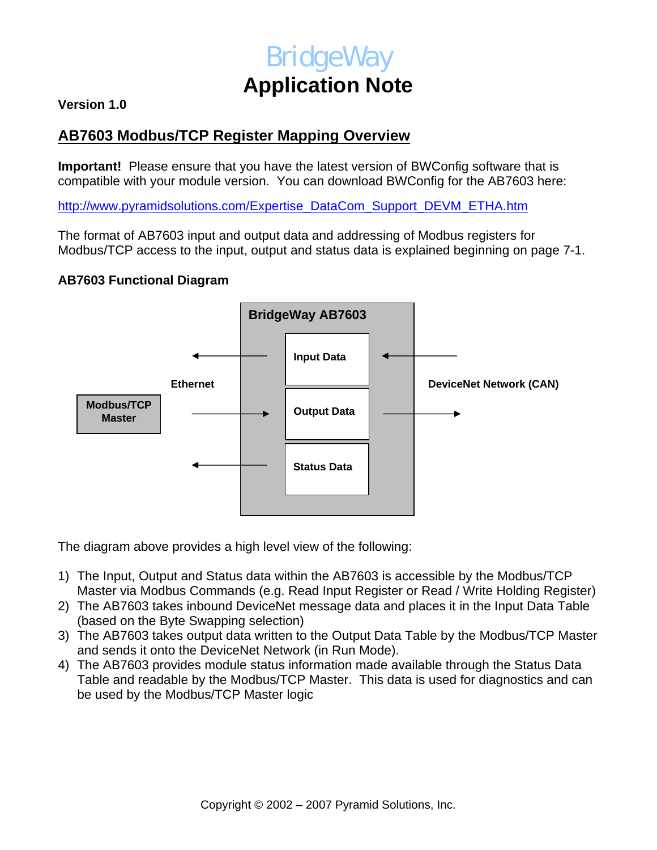# **BridgeWay Application Note**

### **Version 1.0**

## **AB7603 Modbus/TCP Register Mapping Overview**

**Important!** Please ensure that you have the latest version of BWConfig software that is compatible with your module version. You can download BWConfig for the AB7603 here:

[http://www.pyramidsolutions.com/Expertise\\_DataCom\\_Support\\_DEVM\\_ETHA.htm](http://www.pyramidsolutions.com/Expertise_DataCom_Support_DEVM_ETHA.htm)

The format of AB7603 input and output data and addressing of Modbus registers for Modbus/TCP access to the input, output and status data is explained beginning on page 7-1.

#### **AB7603 Functional Diagram**



The diagram above provides a high level view of the following:

- 1) The Input, Output and Status data within the AB7603 is accessible by the Modbus/TCP Master via Modbus Commands (e.g. Read Input Register or Read / Write Holding Register)
- 2) The AB7603 takes inbound DeviceNet message data and places it in the Input Data Table (based on the Byte Swapping selection)
- 3) The AB7603 takes output data written to the Output Data Table by the Modbus/TCP Master and sends it onto the DeviceNet Network (in Run Mode).
- 4) The AB7603 provides module status information made available through the Status Data Table and readable by the Modbus/TCP Master. This data is used for diagnostics and can be used by the Modbus/TCP Master logic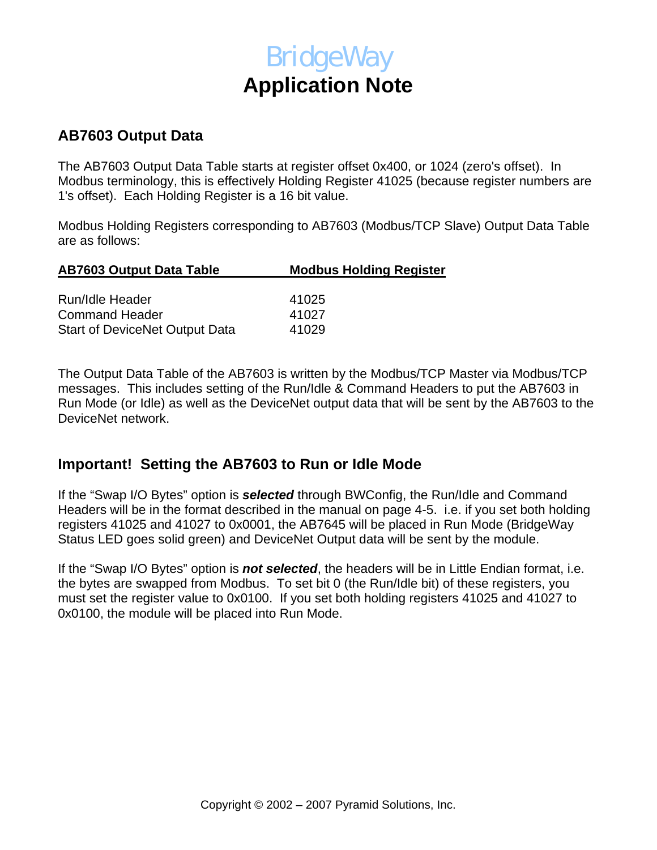# **BridgeWay Application Note**

### **AB7603 Output Data**

The AB7603 Output Data Table starts at register offset 0x400, or 1024 (zero's offset). In Modbus terminology, this is effectively Holding Register 41025 (because register numbers are 1's offset). Each Holding Register is a 16 bit value.

Modbus Holding Registers corresponding to AB7603 (Modbus/TCP Slave) Output Data Table are as follows:

| <b>Modbus Holding Register</b> |  |  |
|--------------------------------|--|--|
|                                |  |  |
| 41025                          |  |  |
| 41027                          |  |  |
| 41029                          |  |  |
|                                |  |  |

The Output Data Table of the AB7603 is written by the Modbus/TCP Master via Modbus/TCP messages. This includes setting of the Run/Idle & Command Headers to put the AB7603 in Run Mode (or Idle) as well as the DeviceNet output data that will be sent by the AB7603 to the DeviceNet network.

## **Important! Setting the AB7603 to Run or Idle Mode**

If the "Swap I/O Bytes" option is *selected* through BWConfig, the Run/Idle and Command Headers will be in the format described in the manual on page 4-5. i.e. if you set both holding registers 41025 and 41027 to 0x0001, the AB7645 will be placed in Run Mode (BridgeWay Status LED goes solid green) and DeviceNet Output data will be sent by the module.

If the "Swap I/O Bytes" option is *not selected*, the headers will be in Little Endian format, i.e. the bytes are swapped from Modbus. To set bit 0 (the Run/Idle bit) of these registers, you must set the register value to 0x0100. If you set both holding registers 41025 and 41027 to 0x0100, the module will be placed into Run Mode.